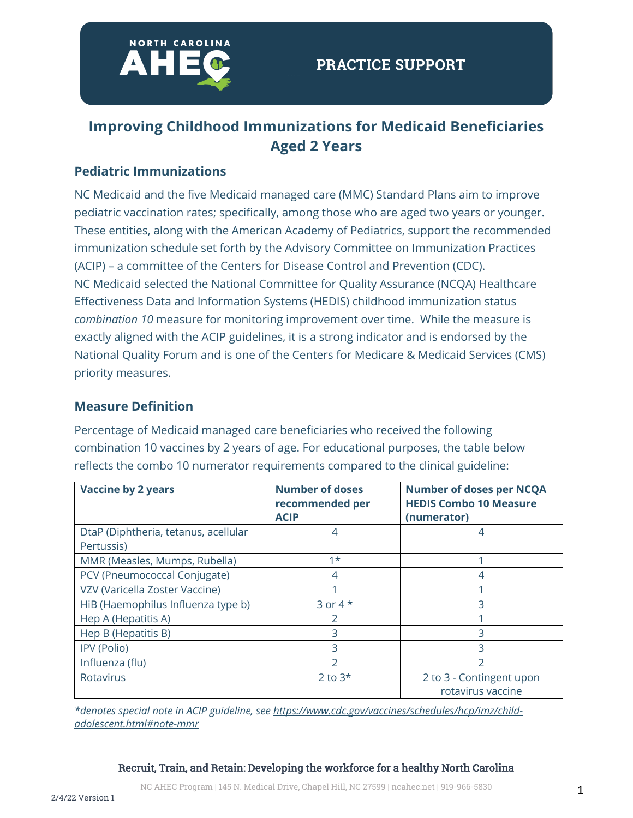

# **Improving Childhood Immunizations for Medicaid Beneficiaries Aged 2 Years**

#### **Pediatric Immunizations**

NC Medicaid and the five Medicaid managed care (MMC) Standard Plans aim to improve pediatric vaccination rates; specifically, among those who are aged two years or younger. These entities, along with the American Academy of Pediatrics, support the recommended immunization schedule set forth by the Advisory Committee on Immunization Practices (ACIP) – a committee of the Centers for Disease Control and Prevention (CDC). NC Medicaid selected the National Committee for Quality Assurance (NCQA) Healthcare Effectiveness Data and Information Systems (HEDIS) childhood immunization status *combination 10* measure for monitoring improvement over time. While the measure is exactly aligned with the ACIP guidelines, it is a strong indicator and is endorsed by the National Quality Forum and is one of the Centers for Medicare & Medicaid Services (CMS) priority measures.

#### **Measure Definition**

Percentage of Medicaid managed care beneficiaries who received the following combination 10 vaccines by 2 years of age. For educational purposes, the table below reflects the combo 10 numerator requirements compared to the clinical guideline:

| <b>Vaccine by 2 years</b>            | <b>Number of doses</b><br>recommended per | <b>Number of doses per NCQA</b><br><b>HEDIS Combo 10 Measure</b> |
|--------------------------------------|-------------------------------------------|------------------------------------------------------------------|
|                                      | <b>ACIP</b>                               | (numerator)                                                      |
| DtaP (Diphtheria, tetanus, acellular | 4                                         | 4                                                                |
| Pertussis)                           |                                           |                                                                  |
| MMR (Measles, Mumps, Rubella)        | $1*$                                      |                                                                  |
| PCV (Pneumococcal Conjugate)         | 4                                         | 4                                                                |
| VZV (Varicella Zoster Vaccine)       |                                           |                                                                  |
| HiB (Haemophilus Influenza type b)   | 3 or 4 $*$                                | 3                                                                |
| Hep A (Hepatitis A)                  |                                           |                                                                  |
| Hep B (Hepatitis B)                  | 3                                         | 3                                                                |
| IPV (Polio)                          | 3                                         |                                                                  |
| Influenza (flu)                      | $\mathcal{P}$                             | フ                                                                |
| <b>Rotavirus</b>                     | 2 to $3*$                                 | 2 to 3 - Contingent upon<br>rotavirus vaccine                    |

*\*denotes special note in ACIP guideline, see https://www.cdc.gov/vaccines/schedules/hcp/imz/childadolescent.html#note-mmr*

#### Recruit, Train, and Retain: Developing the workforce for a healthy North Carolina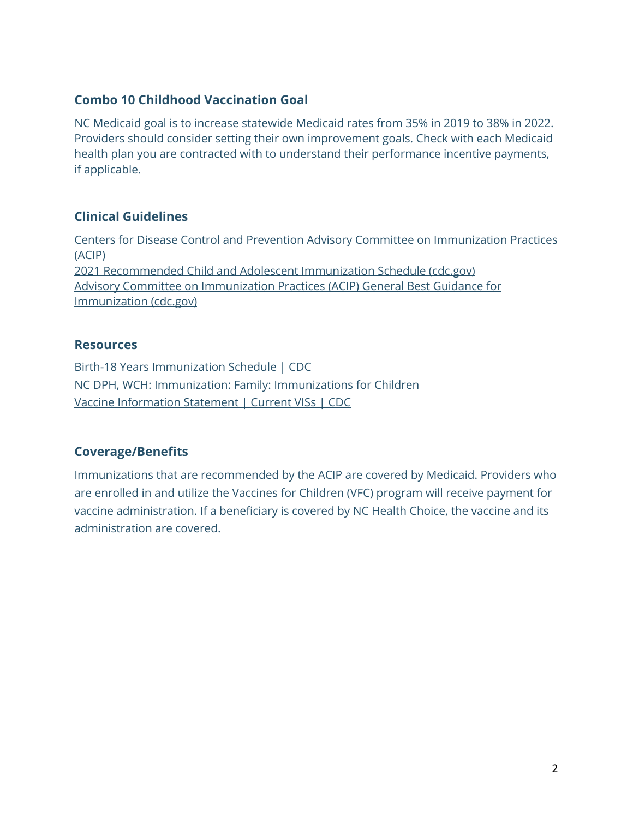## **Combo 10 Childhood Vaccination Goal**

NC Medicaid goal is to increase statewide Medicaid rates from 35% in 2019 to 38% in 2022. Providers should consider setting their own improvement goals. Check with each Medicaid health plan you are contracted with to understand their performance incentive payments, if applicable.

## **Clinical Guidelines**

Centers for Disease Control and Prevention Advisory Committee on Immunization Practices (ACIP) 2021 Recommended Child and Adolescent Immunization Schedule (cdc.gov) Advisory Committee on Immunization Practices (ACIP) General Best Guidance for Immunization (cdc.gov)

#### **Resources**

Birth-18 Years Immunization Schedule | CDC NC DPH, WCH: Immunization: Family: Immunizations for Children Vaccine Information Statement | Current VISs | CDC

## **Coverage/Benefits**

Immunizations that are recommended by the ACIP are covered by Medicaid. Providers who are enrolled in and utilize the Vaccines for Children (VFC) program will receive payment for vaccine administration. If a beneficiary is covered by NC Health Choice, the vaccine and its administration are covered.